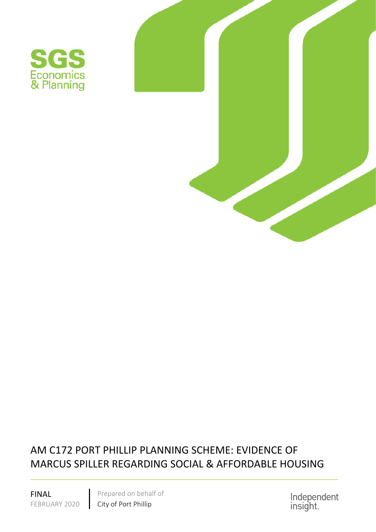



## AM C172 PORT PHILLIP PLANNING SCHEME: EVIDENCE OF MARCUS SPILLER REGARDING SOCIAL & AFFORDABLE HOUSING

FINAL Prepared on behalf of FEBRUARY 2020 City of Port Phillip

Independent<br>insight.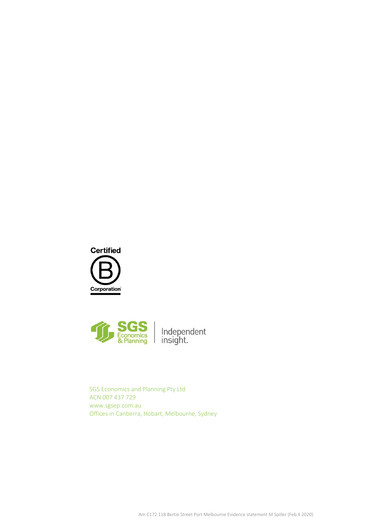



SGS Economics and Planning Pty Ltd ACN 007 437 729 www.sgsep.com.au Offices in Canberra, Hobart, Melbourne, Sydney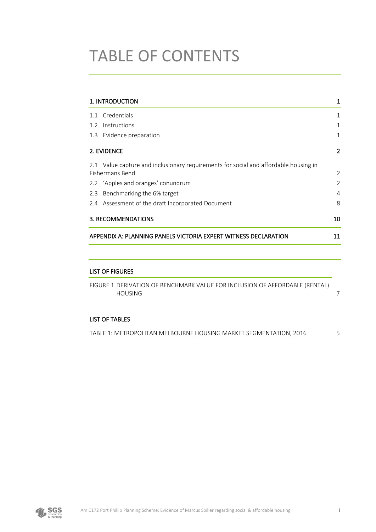## TABLE OF CONTENTS

|                                                                 | 1. INTRODUCTION                                                                      |                |  |  |  |  |
|-----------------------------------------------------------------|--------------------------------------------------------------------------------------|----------------|--|--|--|--|
| $1.1 -$                                                         | Credentials                                                                          | 1              |  |  |  |  |
| 12                                                              | Instructions                                                                         | 1              |  |  |  |  |
| 1.3                                                             | Evidence preparation                                                                 | 1              |  |  |  |  |
| 2. EVIDENCE                                                     |                                                                                      |                |  |  |  |  |
|                                                                 | 2.1 Value capture and inclusionary requirements for social and affordable housing in |                |  |  |  |  |
|                                                                 | Fishermans Bend                                                                      |                |  |  |  |  |
|                                                                 | 2.2 'Apples and oranges' conundrum                                                   | $\overline{2}$ |  |  |  |  |
| 2.3                                                             | Benchmarking the 6% target                                                           | 4              |  |  |  |  |
| 2.4                                                             | Assessment of the draft Incorporated Document                                        | 8              |  |  |  |  |
| 3. RECOMMENDATIONS                                              |                                                                                      |                |  |  |  |  |
| APPENDIX A: PLANNING PANELS VICTORIA EXPERT WITNESS DECLARATION |                                                                                      |                |  |  |  |  |

#### LIST OF FIGURES

FIGURE 1 [DERIVATION OF BENCHMARK VALUE FOR INCLUSION OF AFFORDABLE \(RENTAL\)](#page-9-0)  [HOUSING](#page-9-0) 7

#### LIST OF TABLES

[TABLE 1: METROPOLITAN MELBOURNE HOUSING MARKET SEGMENTATION, 2016](#page-7-0) 5

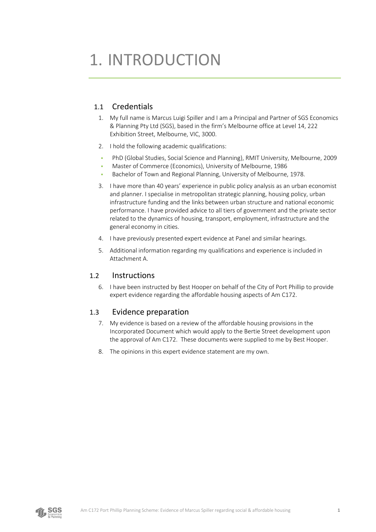## <span id="page-3-0"></span>1. INTRODUCTION

### <span id="page-3-1"></span>1.1 Credentials

- 1. My full name is Marcus Luigi Spiller and I am a Principal and Partner of SGS Economics & Planning Pty Ltd (SGS), based in the firm's Melbourne office at Level 14, 222 Exhibition Street, Melbourne, VIC, 3000.
- 2. I hold the following academic qualifications:
- PhD (Global Studies, Social Science and Planning), RMIT University, Melbourne, 2009
- Master of Commerce (Economics), University of Melbourne, 1986
- Bachelor of Town and Regional Planning, University of Melbourne, 1978.
- 3. I have more than 40 years' experience in public policy analysis as an urban economist and planner. I specialise in metropolitan strategic planning, housing policy, urban infrastructure funding and the links between urban structure and national economic performance. I have provided advice to all tiers of government and the private sector related to the dynamics of housing, transport, employment, infrastructure and the general economy in cities.
- 4. I have previously presented expert evidence at Panel and similar hearings.
- 5. Additional information regarding my qualifications and experience is included in Attachment A.

### <span id="page-3-2"></span>1.2 Instructions

6. I have been instructed by Best Hooper on behalf of the City of Port Phillip to provide expert evidence regarding the affordable housing aspects of Am C172.

### <span id="page-3-3"></span>1.3 Evidence preparation

- 7. My evidence is based on a review of the affordable housing provisions in the Incorporated Document which would apply to the Bertie Street development upon the approval of Am C172. These documents were supplied to me by Best Hooper.
- 8. The opinions in this expert evidence statement are my own.

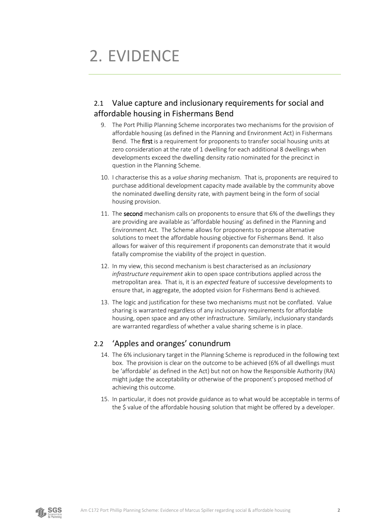## <span id="page-4-0"></span>2. EVIDENCE

## <span id="page-4-1"></span>2.1 Value capture and inclusionary requirements for social and affordable housing in Fishermans Bend

- 9. The Port Phillip Planning Scheme incorporates two mechanisms for the provision of affordable housing (as defined in the Planning and Environment Act) in Fishermans Bend. The first is a requirement for proponents to transfer social housing units at zero consideration at the rate of 1 dwelling for each additional 8 dwellings when developments exceed the dwelling density ratio nominated for the precinct in question in the Planning Scheme.
- 10. I characterise this as a *value sharing* mechanism. That is, proponents are required to purchase additional development capacity made available by the community above the nominated dwelling density rate, with payment being in the form of social housing provision.
- 11. The second mechanism calls on proponents to ensure that 6% of the dwellings they are providing are available as 'affordable housing' as defined in the Planning and Environment Act. The Scheme allows for proponents to propose alternative solutions to meet the affordable housing objective for Fishermans Bend. It also allows for waiver of this requirement if proponents can demonstrate that it would fatally compromise the viability of the project in question.
- 12. In my view, this second mechanism is best characterised as an *inclusionary infrastructure requirement* akin to open space contributions applied across the metropolitan area. That is, it is an *expected* feature of successive developments to ensure that, in aggregate, the adopted vision for Fishermans Bend is achieved.
- 13. The logic and justification for these two mechanisms must not be conflated. Value sharing is warranted regardless of any inclusionary requirements for affordable housing, open space and any other infrastructure. Similarly, inclusionary standards are warranted regardless of whether a value sharing scheme is in place.

## <span id="page-4-2"></span>2.2 'Apples and oranges' conundrum

- 14. The 6% inclusionary target in the Planning Scheme is reproduced in the following text box. The provision is clear on the outcome to be achieved (6% of all dwellings must be 'affordable' as defined in the Act) but not on how the Responsible Authority (RA) might judge the acceptability or otherwise of the proponent's proposed method of achieving this outcome.
- 15. In particular, it does not provide guidance as to what would be acceptable in terms of the \$ value of the affordable housing solution that might be offered by a developer.

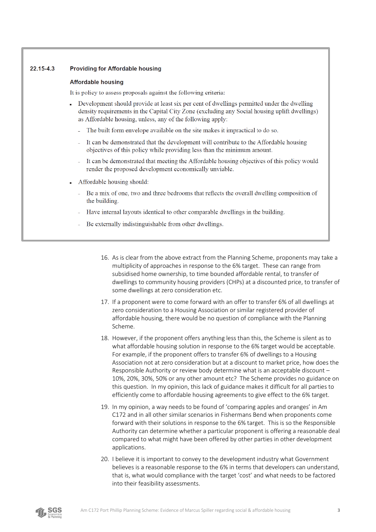#### $22, 15 - 4, 3$ Providing for Affordable housing

#### Affordable housing

It is policy to assess proposals against the following criteria:

- Development should provide at least six per cent of dwellings permitted under the dwelling density requirements in the Capital City Zone (excluding any Social housing uplift dwellings) as Affordable housing, unless, any of the following apply:
	- The built form envelope available on the site makes it impractical to do so.  $\overline{a}$
	- It can be demonstrated that the development will contribute to the Affordable housing objectives of this policy while providing less than the minimum amount.
	- It can be demonstrated that meeting the Affordable housing objectives of this policy would render the proposed development economically unviable.
- Affordable housing should:
	- Be a mix of one, two and three bedrooms that reflects the overall dwelling composition of the building.
	- Have internal layouts identical to other comparable dwellings in the building.
	- Be externally indistinguishable from other dwellings.
		- 16. As is clear from the above extract from the Planning Scheme, proponents may take a multiplicity of approaches in response to the 6% target. These can range from subsidised home ownership, to time bounded affordable rental, to transfer of dwellings to community housing providers (CHPs) at a discounted price, to transfer of some dwellings at zero consideration etc.
		- 17. If a proponent were to come forward with an offer to transfer 6% of all dwellings at zero consideration to a Housing Association or similar registered provider of affordable housing, there would be no question of compliance with the Planning Scheme.
		- 18. However, if the proponent offers anything less than this, the Scheme is silent as to what affordable housing solution in response to the 6% target would be acceptable. For example, if the proponent offers to transfer 6% of dwellings to a Housing Association not at zero consideration but at a discount to market price, how does the Responsible Authority or review body determine what is an acceptable discount – 10%, 20%, 30%, 50% or any other amount etc? The Scheme provides no guidance on this question. In my opinion, this lack of guidance makes it difficult for all parties to efficiently come to affordable housing agreements to give effect to the 6% target.
		- 19. In my opinion, a way needs to be found of 'comparing apples and oranges' in Am C172 and in all other similar scenarios in Fishermans Bend when proponents come forward with their solutions in response to the 6% target. This is so the Responsible Authority can determine whether a particular proponent is offering a reasonable deal compared to what might have been offered by other parties in other development applications.
		- 20. I believe it is important to convey to the development industry what Government believes is a reasonable response to the 6% in terms that developers can understand, that is, what would compliance with the target 'cost' and what needs to be factored into their feasibility assessments.

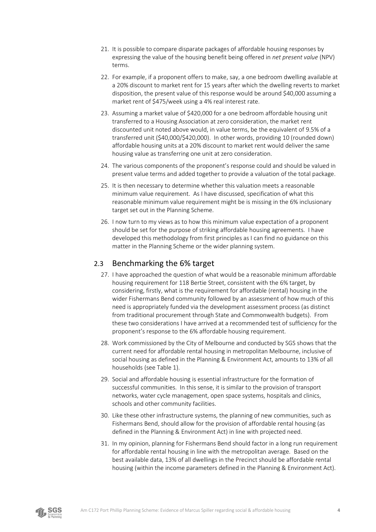- <span id="page-6-1"></span>21. It is possible to compare disparate packages of affordable housing responses by expressing the value of the housing benefit being offered in *net present value* (NPV) terms.
- 22. For example, if a proponent offers to make, say, a one bedroom dwelling available at a 20% discount to market rent for 15 years after which the dwelling reverts to market disposition, the present value of this response would be around \$40,000 assuming a market rent of \$475/week using a 4% real interest rate.
- 23. Assuming a market value of \$420,000 for a one bedroom affordable housing unit transferred to a Housing Association at zero consideration, the market rent discounted unit noted above would, in value terms, be the equivalent of 9.5% of a transferred unit (\$40,000/\$420,000). In other words, providing 10 (rounded down) affordable housing units at a 20% discount to market rent would deliver the same housing value as transferring one unit at zero consideration.
- <span id="page-6-2"></span>24. The various components of the proponent's response could and should be valued in present value terms and added together to provide a valuation of the total package.
- 25. It is then necessary to determine whether this valuation meets a reasonable minimum value requirement. As I have discussed, specification of what this reasonable minimum value requirement might be is missing in the 6% inclusionary target set out in the Planning Scheme.
- 26. I now turn to my views as to how this minimum value expectation of a proponent should be set for the purpose of striking affordable housing agreements. I have developed this methodology from first principles as I can find no guidance on this matter in the Planning Scheme or the wider planning system.

### <span id="page-6-0"></span>2.3 Benchmarking the 6% target

- 27. I have approached the question of what would be a reasonable minimum affordable housing requirement for 118 Bertie Street, consistent with the 6% target, by considering, firstly, what is the requirement for affordable (rental) housing in the wider Fishermans Bend community followed by an assessment of how much of this need is appropriately funded via the development assessment process (as distinct from traditional procurement through State and Commonwealth budgets). From these two considerations I have arrived at a recommended test of sufficiency for the proponent's response to the 6% affordable housing requirement.
- 28. Work commissioned by the City of Melbourne and conducted by SGS shows that the current need for affordable rental housing in metropolitan Melbourne, inclusive of social housing as defined in the Planning & Environment Act, amounts to 13% of all households (se[e Table 1\)](#page-7-0).
- 29. Social and affordable housing is essential infrastructure for the formation of successful communities. In this sense, it is similar to the provision of transport networks, water cycle management, open space systems, hospitals and clinics, schools and other community facilities.
- 30. Like these other infrastructure systems, the planning of new communities, such as Fishermans Bend, should allow for the provision of affordable rental housing (as defined in the Planning & Environment Act) in line with projected need.
- 31. In my opinion, planning for Fishermans Bend should factor in a long run requirement for affordable rental housing in line with the metropolitan average. Based on the best available data, 13% of all dwellings in the Precinct should be affordable rental housing (within the income parameters defined in the Planning & Environment Act).

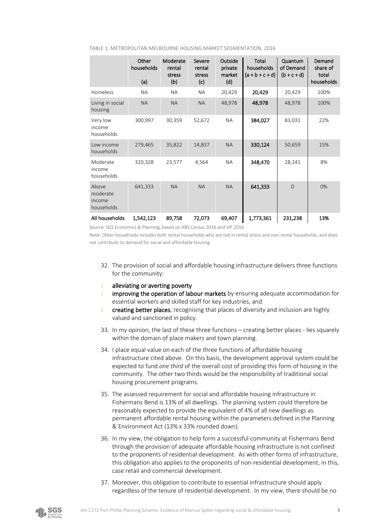|                                           | Other<br>households<br>(a) | Moderate<br>rental<br>stress<br>(b) | Severe<br>rental<br>stress<br>(c) | Outside<br>private<br>market<br>(d) | Total<br>households<br>$(a + b + c + d)$ | Quantum<br>of Demand<br>$(b+c+d)$ | Demand<br>share of<br>total<br>households |
|-------------------------------------------|----------------------------|-------------------------------------|-----------------------------------|-------------------------------------|------------------------------------------|-----------------------------------|-------------------------------------------|
| <b>Homeless</b>                           | <b>NA</b>                  | <b>NA</b>                           | <b>NA</b>                         | 20,429                              | 20,429                                   | 20,429                            | 100%                                      |
| Living in social<br>housing               | <b>NA</b>                  | <b>NA</b>                           | <b>NA</b>                         | 48,978                              | 48,978                                   | 48,978                            | 100%                                      |
| Very low<br>income<br>households          | 300,997                    | 30,359                              | 52,672                            | <b>NA</b>                           | 384,027                                  | 83,031                            | 22%                                       |
| Low income<br>households                  | 279,465                    | 35,822                              | 14,837                            | <b>NA</b>                           | 330,124                                  | 50,659                            | 15%                                       |
| Moderate<br>income<br>households          | 320,328                    | 23,577                              | 4,564                             | <b>NA</b>                           | 348,470                                  | 28,141                            | 8%                                        |
| Above<br>moderate<br>income<br>households | 641,333                    | <b>NA</b>                           | <b>NA</b>                         | <b>NA</b>                           | 641,333                                  | $\Omega$                          | 0%                                        |
| All households                            | 1,542,123                  | 89,758                              | 72,073                            | 69,407                              | 1,773,361                                | 231,238                           | 13%                                       |

#### <span id="page-7-0"></span>TABLE 1: METROPOLITAN MELBOURNE HOUSING MARKET SEGMENTATION, 2016

Source: SGS Economics & Planning, based on ABS Census 2016 and VIF 2016

Note: Other households includes both rental households who are not in rental stress and non-rental households, and does not contribute to demand for social and affordable housing

- 32. The provision of social and affordable housing infrastructure delivers three functions for the community:
- 1. alleviating or averting poverty
- 2. **improving the operation of labour markets** by ensuring adequate accommodation for essential workers and skilled staff for key industries, and
- 3. creating better places, recognising that places of diversity and inclusion are highly valued and sanctioned in policy.
- 33. In my opinion, the last of these three functions creating better places lies squarely within the domain of place makers and town planning.
- 34. I place equal value on each of the three functions of affordable housing infrastructure cited above. On this basis, the development approval system could be expected to fund *one third* of the overall cost of providing this form of housing in the community. The other two thirds would be the responsibility of traditional social housing procurement programs.
- 35. The assessed requirement for social and affordable housing infrastructure in Fishermans Bend is 13% of all dwellings. The planning system could therefore be reasonably expected to provide the equivalent of 4% of all new dwellings as permanent affordable rental housing within the parameters defined in the Planning & Environment Act (13% x 33% rounded down).
- 36. In my view, the obligation to help form a successful community at Fishermans Bend through the provision of adequate affordable housing infrastructure is not confined to the proponents of residential development. As with other forms of infrastructure, this obligation also applies to the proponents of non-residential development, in this, case retail and commercial development.
- 37. Moreover, this obligation to contribute to essential infrastructure should apply regardless of the tenure of residential development. In my view, there should be no

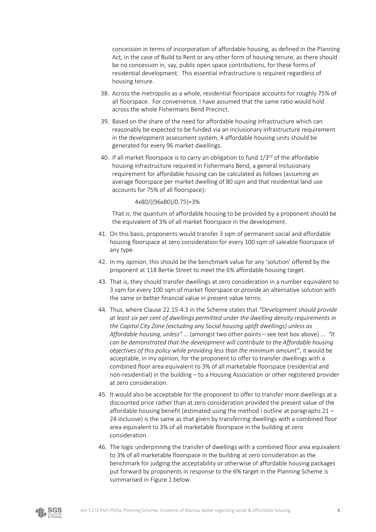concession in terms of incorporation of affordable housing, as defined in the Planning Act, in the case of Build to Rent or any other form of housing tenure, as there should be no concession in, say, public open space contributions, for these forms of residential development. This essential infrastructure is required regardless of housing tenure.

- 38. Across the metropolis as a whole, residential floorspace accounts for roughly 75% of all floorspace. For convenience, I have assumed that the same ratio would hold across the whole Fishermans Bend Precinct.
- 39. Based on the share of the need for affordable housing infrastructure which can reasonably be expected to be funded via an inclusionary infrastructure requirement in the development assessment system, 4 affordable housing units should be generated for every 96 market dwellings.
- 40. If all market floorspace is to carry an obligation to fund  $1/3^{rd}$  of the affordable housing infrastructure required in Fishermans Bend, a general inclusionary requirement for affordable housing can be calculated as follows (assuming an average floorspace per market dwelling of 80 sqm and that residential land use accounts for 75% of all floorspace):

#### 4x80/((96x80)/0.75)=3%

That is, the quantum of affordable housing to be provided by a proponent should be the equivalent of 3% of all market floorspace in the development.

- 41. On this basis, proponents would transfer 3 sqm of permanent social and affordable housing floorspace at zero consideration for every 100 sqm of saleable floorspace of any type.
- 42. In my opinion, this should be the benchmark value for any 'solution' offered by the proponent at 118 Bertie Street to meet the 6% affordable housing target.
- 43. That is, they should transfer dwellings at zero consideration in a number equivalent to 3 sqm for every 100 sqm of market floorspace or provide an alternative solution with the same or better financial value in present value terms.
- 44. Thus, where Clause 22.15-4.3 in the Scheme states that *"Development should provide at least six per cent of dwellings permitted under the dwelling density requirements in the Capital City Zone (excluding any Social housing uplift dwellings) unless as Affordable housing, unless"* … (amongst two other points – see text box above) … *"It can be demonstrated that the development will contribute to the Affordable housing objectives of this policy while providing less than the minimum amount"*, it would be acceptable, in my opinion, for the proponent to offer to transfer dwellings with a combined floor area equivalent to 3% of all marketable floorspace (residential and non-residential) in the building – to a Housing Association or other registered provider at zero consideration.
- 45. It would also be acceptable for the proponent to offer to transfer more dwellings at a discounted price rather than at zero consideration provided the present value of the affordable housing benefit (estimated using the method I outline at paragraphs [21](#page-6-1) – [24](#page-6-2) inclusive) is the same as that given by transferring dwellings with a combined floor area equivalent to 3% of all marketable floorspace in the building at zero consideration.
- 46. The logic underpinning the transfer of dwellings with a combined floor area equivalent to 3% of all marketable floorspace in the building at zero consideration as the benchmark for judging the acceptability or otherwise of affordable housing packages put forward by proponents in response to the 6% target in the Planning Scheme is summarised in [Figure 1](#page-9-0) below.

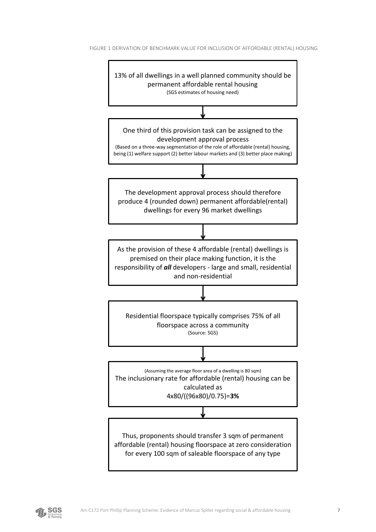#### <span id="page-9-0"></span>FIGURE 1 DERIVATION OF BENCHMARK VALUE FOR INCLUSION OF AFFORDABLE (RENTAL) HOUSING



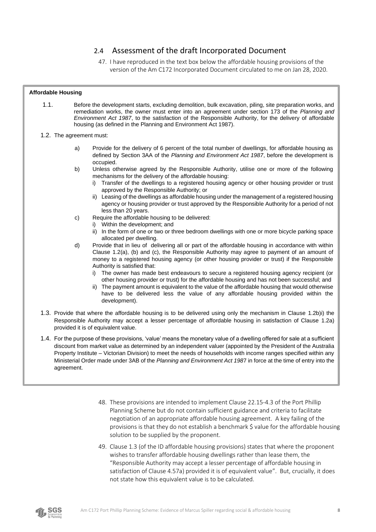### <span id="page-10-0"></span>2.4 Assessment of the draft Incorporated Document

47. I have reproduced in the text box below the affordable housing provisions of the version of the Am C172 Incorporated Document circulated to me on Jan 28, 2020.

#### **Affordable Housing**

- 1.1. Before the development starts, excluding demolition, bulk excavation, piling, site preparation works, and remediation works, the owner must enter into an agreement under section 173 of the *Planning and Environment Act 1987*, to the satisfaction of the Responsible Authority, for the delivery of affordable housing (as defined in the Planning and Environment Act 1987).
- <span id="page-10-4"></span><span id="page-10-3"></span><span id="page-10-2"></span><span id="page-10-1"></span>1.2. The agreement must:
	- a) Provide for the delivery of 6 percent of the total number of dwellings, for affordable housing as defined by Section 3AA of the *Planning and Environment Act 1987*, before the development is occupied.
	- b) Unless otherwise agreed by the Responsible Authority, utilise one or more of the following mechanisms for the delivery of the affordable housing:
		- i) Transfer of the dwellings to a registered housing agency or other housing provider or trust approved by the Responsible Authority; or
		- ii) Leasing of the dwellings as affordable housing under the management of a registered housing agency or housing provider or trust approved by the Responsible Authority for a period of not less than 20 years.
	- c) Require the affordable housing to be delivered:
		- i) Within the development; and
		- ii) In the form of one or two or three bedroom dwellings with one or more bicycle parking space allocated per dwelling.
	- d) Provide that in lieu of delivering all or part of the affordable housing in accordance with within Clause [1.2\(](#page-10-1)a), (b) and (c), the Responsible Authority may agree to payment of an amount of money to a registered housing agency (or other housing provider or trust) if the Responsible Authority is satisfied that:
		- The owner has made best endeavours to secure a registered housing agency recipient (or other housing provider or trust) for the affordable housing and has not been successful; and
		- ii) The payment amount is equivalent to the value of the affordable housing that would otherwise have to be delivered less the value of any affordable housing provided within the development).
- 1.3. Provide that where the affordable housing is to be delivered using only the mechanism in Clause [1.2](#page-10-1)[b\)i](#page-10-2)[\)](#page-10-3) the Responsible Authority may accept a lesser percentage of affordable housing in satisfaction of Clause [1.2](#page-10-1)[a\)](#page-10-4) provided it is of equivalent value.
- 1.4. For the purpose of these provisions, 'value' means the monetary value of a dwelling offered for sale at a sufficient discount from market value as determined by an independent valuer (appointed by the President of the Australia Property Institute – Victorian Division) to meet the needs of households with income ranges specified within any Ministerial Order made under 3AB of the *Planning and Environment Act 198*7 in force at the time of entry into the agreement.
	- 48. These provisions are intended to implement Clause 22.15-4.3 of the Port Phillip Planning Scheme but do not contain sufficient guidance and criteria to facilitate negotiation of an appropriate affordable housing agreement. A key failing of the provisions is that they do not establish a benchmark \$ value for the affordable housing solution to be supplied by the proponent.
	- 49. Clause 1.3 (of the ID affordable housing provisions) states that where the proponent wishes to transfer affordable housing dwellings rather than lease them, the "Responsible Authority may accept a lesser percentage of affordable housing in satisfaction of Clause 4.57a) provided it is of equivalent value". But, crucially, it does not state how this equivalent value is to be calculated.

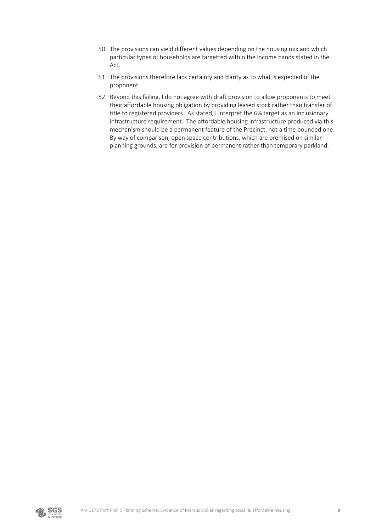- 50. The provisions can yield different values depending on the housing mix and which particular types of households are targetted within the income bands stated in the Act.
- 51. The provisions therefore lack certainty and clarity as to what is expected of the proponent.
- 52. Beyond this failing, I do not agree with draft provision to allow proponents to meet their affordable housing obligation by providing leased stock rather than transfer of title to registered providers. As stated, I interpret the 6% target as an inclusionary infrastructure requirement. The affordable housing infrastructure produced via this mechanism should be a permanent feature of the Precinct, not a time bounded one. By way of comparison, open space contributions, which are premised on similar planning grounds, are for provision of permanent rather than temporary parkland.

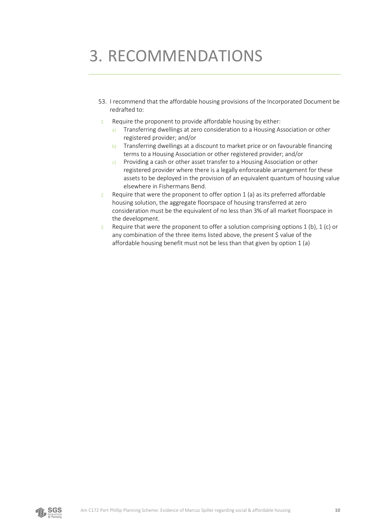# <span id="page-12-0"></span>3. RECOMMENDATIONS

- 53. I recommend that the affordable housing provisions of the Incorporated Document be redrafted to:
- 1. Require the proponent to provide affordable housing by either:
	- a) Transferring dwellings at zero consideration to a Housing Association or other registered provider; and/or
	- b) Transferring dwellings at a discount to market price or on favourable financing terms to a Housing Association or other registered provider; and/or
	- c) Providing a cash or other asset transfer to a Housing Association or other registered provider where there is a legally enforceable arrangement for these assets to be deployed in the provision of an equivalent quantum of housing value elsewhere in Fishermans Bend.
- 2. Require that were the proponent to offer option  $1$  (a) as its preferred affordable housing solution, the aggregate floorspace of housing transferred at zero consideration must be the equivalent of no less than 3% of all market floorspace in the development.
- 3. Require that were the proponent to offer a solution comprising options 1 (b), 1 (c) or any combination of the three items listed above, the present \$ value of the affordable housing benefit must not be less than that given by option 1 (a)

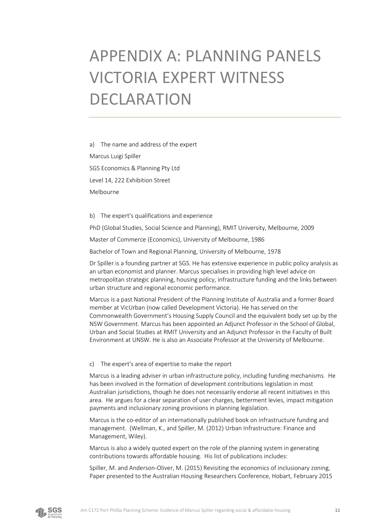# <span id="page-13-0"></span>APPENDIX A: PLANNING PANELS VICTORIA EXPERT WITNESS DECLARATION

a) The name and address of the expert Marcus Luigi Spiller SGS Economics & Planning Pty Ltd Level 14, 222 Exhibition Street Melbourne

b) The expert's qualifications and experience

PhD (Global Studies, Social Science and Planning), RMIT University, Melbourne, 2009

Master of Commerce (Economics), University of Melbourne, 1986

Bachelor of Town and Regional Planning, University of Melbourne, 1978

Dr Spiller is a founding partner at SGS. He has extensive experience in public policy analysis as an urban economist and planner. Marcus specialises in providing high level advice on metropolitan strategic planning, housing policy, infrastructure funding and the links between urban structure and regional economic performance.

Marcus is a past National President of the Planning Institute of Australia and a former Board member at VicUrban (now called Development Victoria). He has served on the Commonwealth Government's Housing Supply Council and the equivalent body set up by the NSW Government. Marcus has been appointed an Adjunct Professor in the School of Global, Urban and Social Studies at RMIT University and an Adjunct Professor in the Faculty of Built Environment at UNSW. He is also an Associate Professor at the University of Melbourne.

c) The expert's area of expertise to make the report

Marcus is a leading adviser in urban infrastructure policy, including funding mechanisms. He has been involved in the formation of development contributions legislation in most Australian jurisdictions, though he does not necessarily endorse all recent initiatives in this area. He argues for a clear separation of user charges, betterment levies, impact mitigation payments and inclusionary zoning provisions in planning legislation.

Marcus is the co-editor of an internationally published book on infrastructure funding and management. (Wellman, K., and Spiller, M. (2012) Urban Infrastructure: Finance and Management, Wiley).

Marcus is also a widely quoted expert on the role of the planning system in generating contributions towards affordable housing. His list of publications includes:

Spiller, M. and Anderson-Oliver, M. (2015) Revisiting the economics of inclusionary zoning, Paper presented to the Australian Housing Researchers Conference, Hobart, February 2015

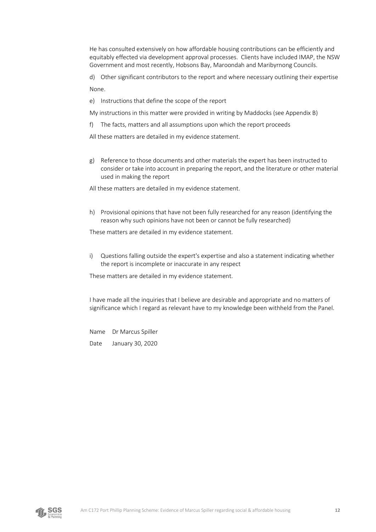He has consulted extensively on how affordable housing contributions can be efficiently and equitably effected via development approval processes. Clients have included IMAP, the NSW Government and most recently, Hobsons Bay, Maroondah and Maribyrnong Councils.

d) Other significant contributors to the report and where necessary outlining their expertise None.

e) Instructions that define the scope of the report

My instructions in this matter were provided in writing by Maddocks (see Appendix B)

f) The facts, matters and all assumptions upon which the report proceeds

All these matters are detailed in my evidence statement.

g) Reference to those documents and other materials the expert has been instructed to consider or take into account in preparing the report, and the literature or other material used in making the report

All these matters are detailed in my evidence statement.

h) Provisional opinions that have not been fully researched for any reason (identifying the reason why such opinions have not been or cannot be fully researched)

These matters are detailed in my evidence statement.

i) Questions falling outside the expert's expertise and also a statement indicating whether the report is incomplete or inaccurate in any respect

These matters are detailed in my evidence statement.

I have made all the inquiries that I believe are desirable and appropriate and no matters of significance which I regard as relevant have to my knowledge been withheld from the Panel.

Name Dr Marcus Spiller Date January 30, 2020

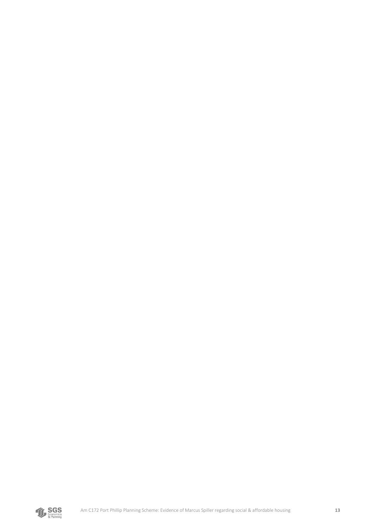